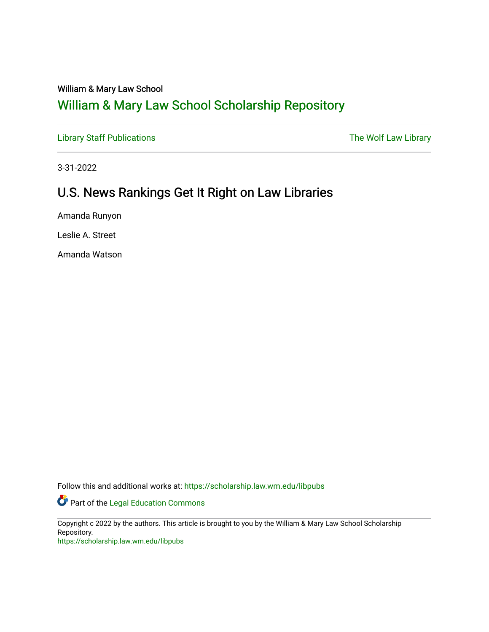### William & Mary Law School

# [William & Mary Law School Scholarship Repository](https://scholarship.law.wm.edu/)

[Library Staff Publications](https://scholarship.law.wm.edu/libpubs) **The Wolf Law Library** Channel Communist Channel Channel Channel Channel Channel Channel Channel Channel Channel Channel Channel Channel Channel Channel Channel Channel Channel Channel Channel Ch

3-31-2022

## U.S. News Rankings Get It Right on Law Libraries

Amanda Runyon

Leslie A. Street

Amanda Watson

Follow this and additional works at: [https://scholarship.law.wm.edu/libpubs](https://scholarship.law.wm.edu/libpubs?utm_source=scholarship.law.wm.edu%2Flibpubs%2F149&utm_medium=PDF&utm_campaign=PDFCoverPages) 

Part of the [Legal Education Commons](http://network.bepress.com/hgg/discipline/857?utm_source=scholarship.law.wm.edu%2Flibpubs%2F149&utm_medium=PDF&utm_campaign=PDFCoverPages) 

Copyright c 2022 by the authors. This article is brought to you by the William & Mary Law School Scholarship Repository.

<https://scholarship.law.wm.edu/libpubs>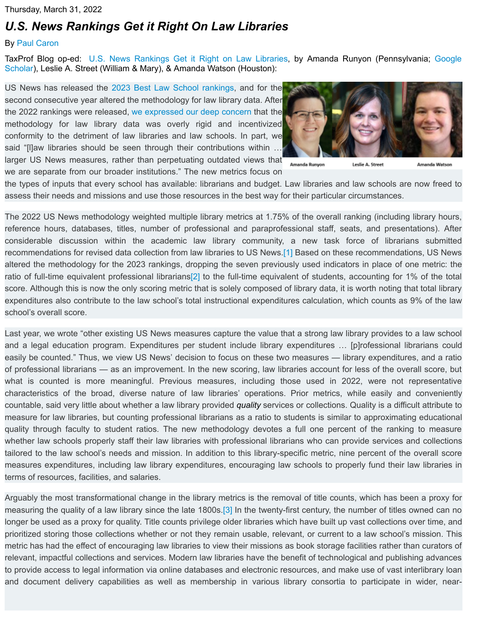#### Thursday, March 31, 2022

### *[U.S. News Rankings Get it Right On Law Libraries](https://taxprof.typepad.com/taxprof_blog/2022/03/us-news-rankings-get-it-right-on-law-libraries.html)*

#### By [Paul Caron](https://taxprof.typepad.com/taxprof_blog/2022/03/us-news-rankings-get-it-right-on-law-libraries.html#)

TaxProf Blog op-ed: [U](https://scholar.google.com/citations?user=rqvANN4AAAAJ&hl=en&oi=ao)[.S. News Rankings Get it Right on Law Libraries](https://taxprof.typepad.com/files/us-news-rankings-get-it-right-on-law-libraries.pdf)[, by Amanda Runyon \(Pennsylvania;](https://scholar.google.com/citations?user=rqvANN4AAAAJ&hl=en&oi=ao) Google Scholar), Leslie A. Street (William & Mary), & Amanda Watson (Houston):

US News has released the [2023 Best Law School rankings](https://taxprof.typepad.com/taxprof_blog/2022/03/2023-us-news-law-school-peer-reputation-rankings-and-overall-rankings.html), and for the second consecutive year altered the methodology for law library data. After the 2022 rankings were released, [we expressed our deep concern](https://taxprof.typepad.com/taxprof_blog/2021/03/us-news-ranking-metrics-stifle-law-libraries-tie-hands-of-law-schools.html) that the methodology for law library data was overly rigid and incentivized conformity to the detriment of law libraries and law schools. In part, we said "[l]aw libraries should be seen through their contributions within … larger US News measures, rather than perpetuating outdated views that we are separate from our broader institutions." The new metrics focus on



Amanda Runyon Leslie A. Street Amanda Watson

the types of inputs that every school has available: librarians and budget. Law libraries and law schools are now freed to assess their needs and missions and use those resources in the best way for their particular circumstances.

The 2022 US News methodology weighted multiple library metrics at 1.75% of the overall ranking (including library hours, reference hours, databases, titles, number of professional and paraprofessional staff, seats, and presentations). After considerable discussion within the academic law library community, a new task force of librarians submitted recommendations for revised data collection from law libraries to US News.[\[1\]](https://taxprof.typepad.com/taxprof_blog/2022/03/us-news-rankings-get-it-right-on-law-libraries.html#_ftn1) Based on these recommendations, US News altered the methodology for the 2023 rankings, dropping the seven previously used indicators in place of one metric: the ratio of full-time equivalent professional librarians<sup>[2]</sup> to the full-time equivalent of students, accounting for 1% of the total score. Although this is now the only scoring metric that is solely composed of library data, it is worth noting that total library expenditures also contribute to the law school's total instructional expenditures calculation, which counts as 9% of the law school's overall score.

Last year, we wrote "other existing US News measures capture the value that a strong law library provides to a law school and a legal education program. Expenditures per student include library expenditures … [p]rofessional librarians could easily be counted." Thus, we view US News' decision to focus on these two measures — library expenditures, and a ratio of professional librarians — as an improvement. In the new scoring, law libraries account for less of the overall score, but what is counted is more meaningful. Previous measures, including those used in 2022, were not representative characteristics of the broad, diverse nature of law libraries' operations. Prior metrics, while easily and conveniently countable, said very little about whether a law library provided *quality* services or collections. Quality is a difficult attribute to measure for law libraries, but counting professional librarians as a ratio to students is similar to approximating educational quality through faculty to student ratios. The new methodology devotes a full one percent of the ranking to measure whether law schools properly staff their law libraries with professional librarians who can provide services and collections tailored to the law school's needs and mission. In addition to this library-specific metric, nine percent of the overall score measures expenditures, including law library expenditures, encouraging law schools to properly fund their law libraries in terms of resources, facilities, and salaries.

Arguably the most transformational change in the library metrics is the removal of title counts, which has been a proxy for measuring the quality of a law library since the late 1800s.[\[3\]](https://taxprof.typepad.com/taxprof_blog/2022/03/us-news-rankings-get-it-right-on-law-libraries.html#_ftn1) In the twenty-first century, the number of titles owned can no longer be used as a proxy for quality. Title counts privilege older libraries which have built up vast collections over time, and prioritized storing those collections whether or not they remain usable, relevant, or current to a law school's mission. This metric has had the effect of encouraging law libraries to view their missions as book storage facilities rather than curators of relevant, impactful collections and services. Modern law libraries have the benefit of technological and publishing advances to provide access to legal information via online databases and electronic resources, and make use of vast interlibrary loan and document delivery capabilities as well as membership in various library consortia to participate in wider, near